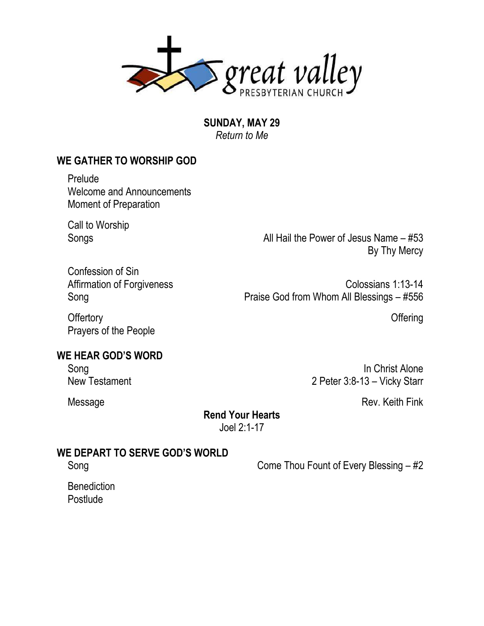

**SUNDAY, MAY 29** *Return to Me*

## **WE GATHER TO WORSHIP GOD**

Prelude Welcome and Announcements Moment of Preparation

Call to Worship

Songs **Songs All Hail the Power of Jesus Name – #53** By Thy Mercy

Confession of Sin

Affirmation of Forgiveness **Colossians 1:13-14** Song Praise God from Whom All Blessings – #556

Offertory Offering Prayers of the People

#### **WE HEAR GOD'S WORD**

Song In Christ Alone New Testament 2 Peter 3:8-13 – Vicky Starr

Message Rev. Keith Fink

#### **Rend Your Hearts**

Joel 2:1-17

#### **WE DEPART TO SERVE GOD'S WORLD**

Song Come Thou Fount of Every Blessing – #2

**Benediction Postlude**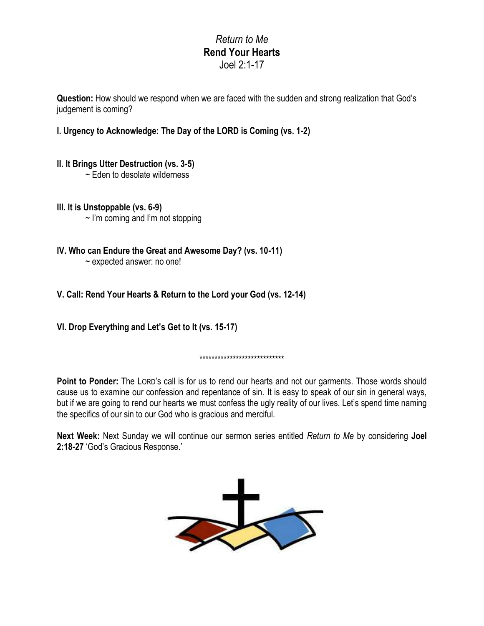#### *Return to Me* **Rend Your Hearts** Joel 2:1-17

**Question:** How should we respond when we are faced with the sudden and strong realization that God's judgement is coming?

- **I. Urgency to Acknowledge: The Day of the LORD is Coming (vs. 1-2)**
- **II. It Brings Utter Destruction (vs. 3-5)**  $\sim$  Eden to desolate wilderness
- **III. It is Unstoppable (vs. 6-9)**  $\sim$  I'm coming and I'm not stopping
- **IV. Who can Endure the Great and Awesome Day? (vs. 10-11)** ~ expected answer: no one!
- **V. Call: Rend Your Hearts & Return to the Lord your God (vs. 12-14)**
- **VI. Drop Everything and Let's Get to It (vs. 15-17)**

\*\*\*\*\*\*\*\*\*\*\*\*\*\*\*\*\*\*\*\*\*\*\*\*\*\*\*\*

**Point to Ponder:** The LORD's call is for us to rend our hearts and not our garments. Those words should cause us to examine our confession and repentance of sin. It is easy to speak of our sin in general ways, but if we are going to rend our hearts we must confess the ugly reality of our lives. Let's spend time naming the specifics of our sin to our God who is gracious and merciful.

**Next Week:** Next Sunday we will continue our sermon series entitled *Return to Me* by considering **Joel 2:18-27** 'God's Gracious Response.'

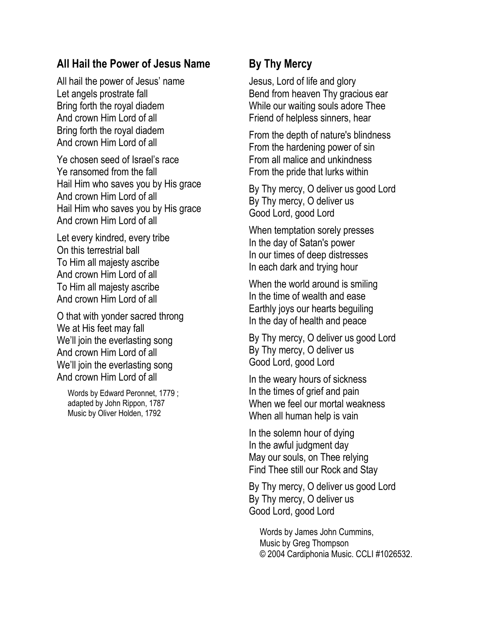# **All Hail the Power of Jesus Name**

All hail the power of Jesus' name Let angels prostrate fall Bring forth the royal diadem And crown Him Lord of all Bring forth the royal diadem And crown Him Lord of all

Ye chosen seed of Israel's race Ye ransomed from the fall Hail Him who saves you by His grace And crown Him Lord of all Hail Him who saves you by His grace And crown Him Lord of all

Let every kindred, every tribe On this terrestrial ball To Him all majesty ascribe And crown Him Lord of all To Him all majesty ascribe And crown Him Lord of all

O that with yonder sacred throng We at His feet may fall We'll join the everlasting song And crown Him Lord of all We'll join the everlasting song And crown Him Lord of all

Words by Edward Peronnet, 1779 ; adapted by John Rippon, 1787 Music by Oliver Holden, 1792

# **By Thy Mercy**

Jesus, Lord of life and glory Bend from heaven Thy gracious ear While our waiting souls adore Thee Friend of helpless sinners, hear

From the depth of nature's blindness From the hardening power of sin From all malice and unkindness From the pride that lurks within

By Thy mercy, O deliver us good Lord By Thy mercy, O deliver us Good Lord, good Lord

When temptation sorely presses In the day of Satan's power In our times of deep distresses In each dark and trying hour

When the world around is smiling In the time of wealth and ease Earthly joys our hearts beguiling In the day of health and peace

By Thy mercy, O deliver us good Lord By Thy mercy, O deliver us Good Lord, good Lord

In the weary hours of sickness In the times of grief and pain When we feel our mortal weakness When all human help is vain

In the solemn hour of dying In the awful judgment day May our souls, on Thee relying Find Thee still our Rock and Stay

By Thy mercy, O deliver us good Lord By Thy mercy, O deliver us Good Lord, good Lord

Words by James John Cummins, Music by Greg Thompson © 2004 Cardiphonia Music. CCLI #1026532.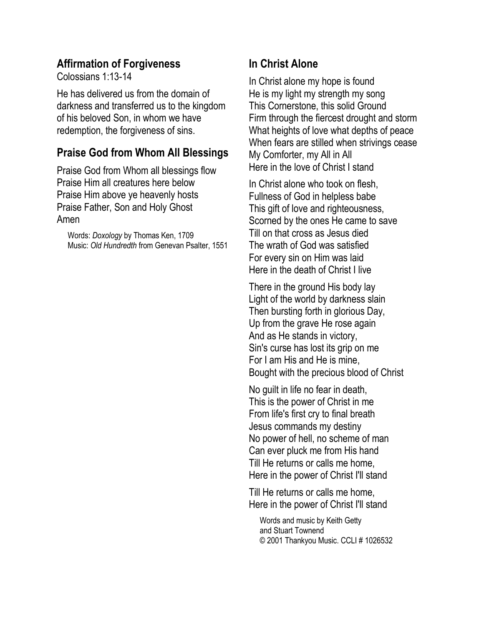## **Affirmation of Forgiveness**

Colossians 1:13-14

He has delivered us from the domain of darkness and transferred us to the kingdom of his beloved Son, in whom we have redemption, the forgiveness of sins.

# **Praise God from Whom All Blessings**

Praise God from Whom all blessings flow Praise Him all creatures here below Praise Him above ye heavenly hosts Praise Father, Son and Holy Ghost Amen

Words: *Doxology* by Thomas Ken, 1709 Music: *Old Hundredth* from Genevan Psalter, 1551

## **In Christ Alone**

In Christ alone my hope is found He is my light my strength my song This Cornerstone, this solid Ground Firm through the fiercest drought and storm What heights of love what depths of peace When fears are stilled when strivings cease My Comforter, my All in All Here in the love of Christ I stand

In Christ alone who took on flesh, Fullness of God in helpless babe This gift of love and righteousness, Scorned by the ones He came to save Till on that cross as Jesus died The wrath of God was satisfied For every sin on Him was laid Here in the death of Christ I live

There in the ground His body lay Light of the world by darkness slain Then bursting forth in glorious Day, Up from the grave He rose again And as He stands in victory, Sin's curse has lost its grip on me For I am His and He is mine, Bought with the precious blood of Christ

No guilt in life no fear in death, This is the power of Christ in me From life's first cry to final breath Jesus commands my destiny No power of hell, no scheme of man Can ever pluck me from His hand Till He returns or calls me home, Here in the power of Christ I'll stand

Till He returns or calls me home, Here in the power of Christ I'll stand

Words and music by Keith Getty and Stuart Townend © 2001 Thankyou Music. CCLI # 1026532